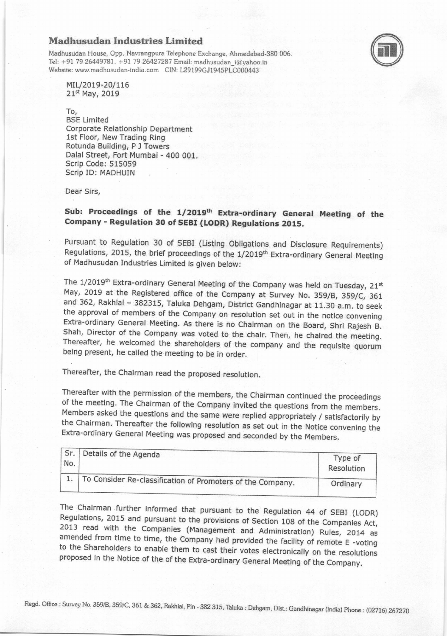## Madhusudan Industries Limited

Madhusudan House, Opp. Navrangpura Telephone Exchange, Ahmedabad-380 006. Tel: +91 79 26449781, +91 79 26427287 Email: madhusudan i@vahoo.in Website: www.madhusudan-india.com CIN: L29199GJ1945PLC000443



MIL/2019-20/116 21st May, 2019

To,

BSE Limited Corporate Relationship Department 1st Floor, New Trading Ring Rotunda Building, P J Towers Dalal Street, Fort Mumbai- 400 001. Scrip Code: 515059 Scrip ID: MADHUIN

Dear Sirs,

## Sub: Proceedings of the 1/2019<sup>th</sup> Extra-ordinary General Meeting of the Company - Regulation 30 of SEBI (IODR) Regulations 2015,

Pursuant to Regulation 30 of SEBI (Listing Obligations and Disclosure Requirements) Regulations, 2015, the brief proceedings of the 1/2019<sup>th</sup> Extra-ordinary General Meeting of Madhusudan Industries Limited is given below:

The 1/2019<sup>th</sup> Extra-ordinary General Meeting of the Company was held on Tuesday, 21<sup>st</sup> May, 2019 at the Registered office of the Company at Survey No. 359/B, 359/C, 361 and 362, Rakhial - 382315, Taluka Dehgam, District Gandhinagar at 11.30 a.m. to seek<br>the approval of members of the Company on resolution set out in the notice convening<br>Extra-ordinary General Meeting. As there is no Chair Shah, Director of the Company was voted to the chair. Then, he chaired the meeting.<br>Thereafter, he welcomed the shareholders of the company and the requisite quorum being present, he called the meeting to be in order.

Thereafter, the Chairman read the proposed resolution.

Thereafter with the permission of the members, the chairman continued the proceedings of the meeting. The Chairman of the Company invited the questions from the members.<br>Members asked the questions and the same were replied appropriately / satisfactorily by the Chairman. Thereafter the following resolution as set out in the Notice convening the Extra-ordinary General Meeting was proposed and seconded by the Members.

| No. | Details of the Agenda                                      | Type of<br>Resolution |
|-----|------------------------------------------------------------|-----------------------|
|     | To Consider Re-classification of Promoters of the Company. | Ordinary              |

The Chairman further informed that pursuant to the Regulation 44 of SEBI (LODR)<br>Regulations, 2015 and pursuant to the provisions of Section 108 of the Companies Act,<br>2013 read with the Companies (Management and Administrat